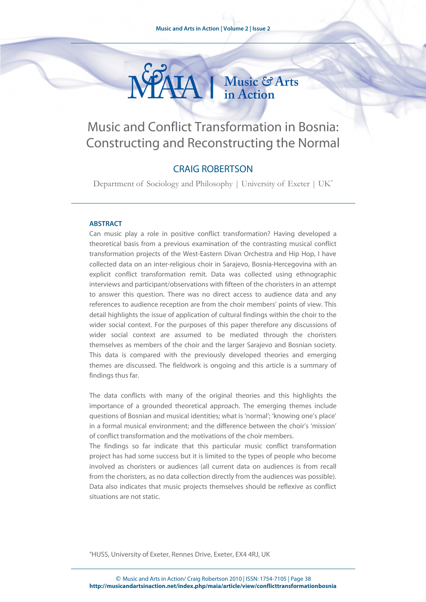

# Music and Conflict Transformation in Bosnia: Constructing and Reconstructing the Normal

## CRAIG ROBERTSON

Department of Sociology and Philosophy | University of Exeter | UK[\\*](#page-0-0)

#### **ABSTRACT**

Can music play a role in positive conflict transformation? Having developed a theoretical basis from a previous examination of the contrasting musical conflict transformation projects of the West-Eastern Divan Orchestra and Hip Hop, I have collected data on an inter-religious choir in Sarajevo, Bosnia-Hercegovina with an explicit conflict transformation remit. Data was collected using ethnographic interviews and participant/observations with fifteen of the choristers in an attempt to answer this question. There was no direct access to audience data and any references to audience reception are from the choir members' points of view. This detail highlights the issue of application of cultural findings within the choir to the wider social context. For the purposes of this paper therefore any discussions of wider social context are assumed to be mediated through the choristers themselves as members of the choir and the larger Sarajevo and Bosnian society. This data is compared with the previously developed theories and emerging themes are discussed. The fieldwork is ongoing and this article is a summary of findings thus far.

The data conflicts with many of the original theories and this highlights the importance of a grounded theoretical approach. The emerging themes include questions of Bosnian and musical identities; what is 'normal'; 'knowing one's place' in a formal musical environment; and the difference between the choir's 'mission' of conflict transformation and the motivations of the choir members.

The findings so far indicate that this particular music conflict transformation project has had some success but it is limited to the types of people who become involved as choristers or audiences (all current data on audiences is from recall from the choristers, as no data collection directly from the audiences was possible). Data also indicates that music projects themselves should be reflexive as conflict situations are not static.

<span id="page-0-0"></span>\*HUSS, University of Exeter, Rennes Drive, Exeter, EX4 4RJ, UK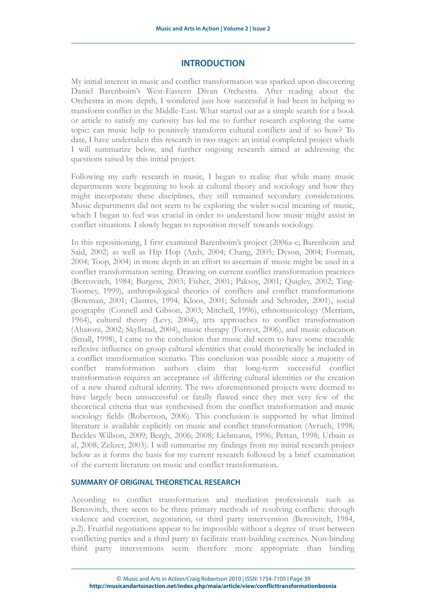## **INTRODUCTION**

My initial interest in music and conflict transformation was sparked upon discovering Daniel Barenboim's West-Eastern Divan Orchestra. After reading about the Orchestra in more depth, I wondered just how successful it had been in helping to transform conflict in the Middle-East. What started out as a simple search for a book or article to satisfy my curiosity has led me to further research exploring the same topic: can music help to positively transform cultural conflicts and if so how? To date, I have undertaken this research in two stages: an initial completed project which I will summarize below, and further ongoing research aimed at addressing the questions raised by this initial project.

Following my early research in music, I began to realise that while many music departments were beginning to look at cultural theory and sociology and how they might incorporate these disciplines, they still remained secondary considerations. Music departments did not seem to be exploring the wider social meaning of music, which I began to feel was crucial in order to understand how music might assist in conflict situations. I slowly began to reposition myself towards sociology.

In this repositioning, I first examined Barenboim's project (2006a-e; Barenboim and Said, 2002) as well as Hip Hop (Ards, 2004; Chang, 2005; Dyson, 2004; Forman, 2004; Toop, 2004) in more depth in an effort to ascertain if music might be used in a conflict transformation setting. Drawing on current conflict transformation practices (Bercovitch, 1984; Burgess, 2003; Fisher, 2001; Paksoy, 2001; Quigley, 2002; Ting-Toomey, 1999), anthropological theories of conflicts and conflict transformations (Bowman, 2001; Clastres, 1994; Kloos, 2001; Schmidt and Schroder, 2001), social geography (Connell and Gibson, 2003; Mitchell, 1996), ethnomusicology (Merriam, 1964), cultural theory (Levy, 2004), arts approaches to conflict transformation (Aharoni, 2002; Skyllstad, 2004), music therapy (Forrest, 2006), and music education (Small, 1998), I came to the conclusion that music did seem to have some traceable reflexive influence on group cultural identities that could theoretically be included in a conflict transformation scenario. This conclusion was possible since a majority of conflict transformation authors claim that long-term successful conflict transformation requires an acceptance of differing cultural identities or the creation of a new shared cultural identity. The two aforementioned projects were deemed to have largely been unsuccessful or fatally flawed since they met very few of the theoretical criteria that was synthesised from the conflict transformation and music sociology fields (Robertson, 2006). This conclusion is supported by what limited literature is available explicitly on music and conflict transformation (Avruch, 1998; Beckles Willson, 2009; Bergh, 2006; 2008; Liebmann, 1996; Pettan, 1998; Urbain et al, 2008; Zelizer, 2003). I will summarise my findings from my initial research project below as it forms the basis for my current research followed by a brief examination of the current literature on music and conflict transformation.

### **SUMMARY OF ORIGINAL THEORETICAL RESEARCH**

According to conflict transformation and mediation professionals such as Bercovitch, there seem to be three primary methods of resolving conflicts: through violence and coercion, negotiation, or third party intervention (Bercovitch, 1984, p.2). Fruitful negotiations appear to be impossible without a degree of trust between conflicting parties and a third party to facilitate trust-building exercises. Non-binding third party interventions seem therefore more appropriate than binding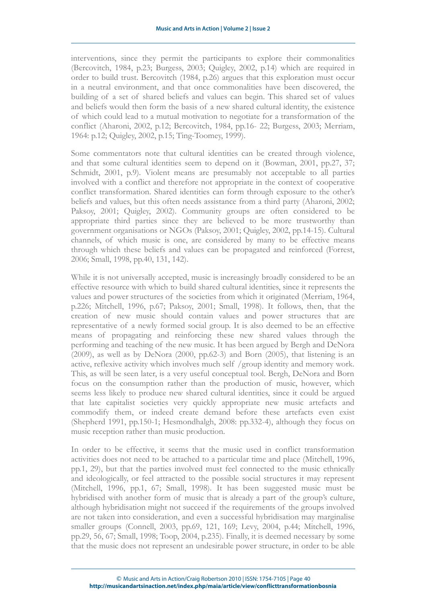interventions, since they permit the participants to explore their commonalities (Bercovitch, 1984, p.23; Burgess, 2003; Quigley, 2002, p.14) which are required in order to build trust. Bercovitch (1984, p.26) argues that this exploration must occur in a neutral environment, and that once commonalities have been discovered, the building of a set of shared beliefs and values can begin. This shared set of values and beliefs would then form the basis of a new shared cultural identity, the existence of which could lead to a mutual motivation to negotiate for a transformation of the conflict (Aharoni, 2002, p.12; Bercovitch, 1984, pp.16- 22; Burgess, 2003; Merriam, 1964: p.12; Quigley, 2002, p.15; Ting-Toomey, 1999).

Some commentators note that cultural identities can be created through violence, and that some cultural identities seem to depend on it (Bowman, 2001, pp.27, 37; Schmidt, 2001, p.9). Violent means are presumably not acceptable to all parties involved with a conflict and therefore not appropriate in the context of cooperative conflict transformation. Shared identities can form through exposure to the other's beliefs and values, but this often needs assistance from a third party (Aharoni, 2002; Paksoy, 2001; Quigley, 2002). Community groups are often considered to be appropriate third parties since they are believed to be more trustworthy than government organisations or NGOs (Paksoy, 2001; Quigley, 2002, pp.14-15). Cultural channels, of which music is one, are considered by many to be effective means through which these beliefs and values can be propagated and reinforced (Forrest, 2006; Small, 1998, pp.40, 131, 142).

While it is not universally accepted, music is increasingly broadly considered to be an effective resource with which to build shared cultural identities, since it represents the values and power structures of the societies from which it originated (Merriam, 1964, p.226; Mitchell, 1996, p.67; Paksoy, 2001; Small, 1998). It follows, then, that the creation of new music should contain values and power structures that are representative of a newly formed social group. It is also deemed to be an effective means of propagating and reinforcing these new shared values through the performing and teaching of the new music. It has been argued by Bergh and DeNora (2009), as well as by DeNora (2000, pp.62-3) and Born (2005), that listening is an active, reflexive activity which involves much self /group identity and memory work. This, as will be seen later, is a very useful conceptual tool. Bergh, DeNora and Born focus on the consumption rather than the production of music, however, which seems less likely to produce new shared cultural identities, since it could be argued that late capitalist societies very quickly appropriate new music artefacts and commodify them, or indeed create demand before these artefacts even exist (Shepherd 1991, pp.150-1; Hesmondhalgh, 2008: pp.332-4), although they focus on music reception rather than music production.

In order to be effective, it seems that the music used in conflict transformation activities does not need to be attached to a particular time and place (Mitchell, 1996, pp.1, 29), but that the parties involved must feel connected to the music ethnically and ideologically, or feel attracted to the possible social structures it may represent (Mitchell, 1996, pp.1, 67; Small, 1998). It has been suggested music must be hybridised with another form of music that is already a part of the group's culture, although hybridisation might not succeed if the requirements of the groups involved are not taken into consideration, and even a successful hybridisation may marginalise smaller groups (Connell, 2003, pp.69, 121, 169; Levy, 2004, p.44; Mitchell, 1996, pp.29, 56, 67; Small, 1998; Toop, 2004, p.235). Finally, it is deemed necessary by some that the music does not represent an undesirable power structure, in order to be able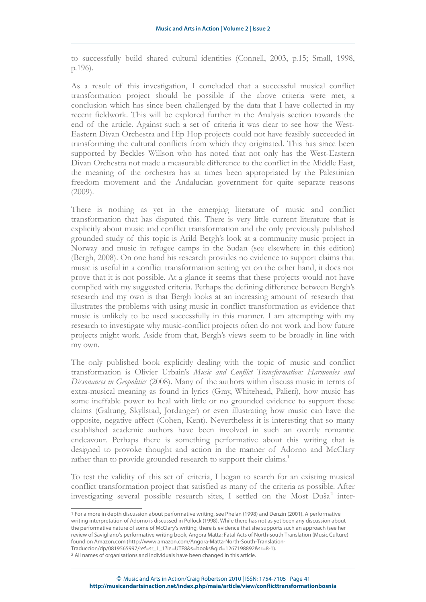to successfully build shared cultural identities (Connell, 2003, p.15; Small, 1998, p.196).

As a result of this investigation, I concluded that a successful musical conflict transformation project should be possible if the above criteria were met, a conclusion which has since been challenged by the data that I have collected in my recent fieldwork. This will be explored further in the Analysis section towards the end of the article. Against such a set of criteria it was clear to see how the West-Eastern Divan Orchestra and Hip Hop projects could not have feasibly succeeded in transforming the cultural conflicts from which they originated. This has since been supported by Beckles Willson who has noted that not only has the West-Eastern Divan Orchestra not made a measurable difference to the conflict in the Middle East, the meaning of the orchestra has at times been appropriated by the Palestinian freedom movement and the Andalucían government for quite separate reasons (2009).

There is nothing as yet in the emerging literature of music and conflict transformation that has disputed this. There is very little current literature that is explicitly about music and conflict transformation and the only previously published grounded study of this topic is Arild Bergh's look at a community music project in Norway and music in refugee camps in the Sudan (see elsewhere in this edition) (Bergh, 2008). On one hand his research provides no evidence to support claims that music is useful in a conflict transformation setting yet on the other hand, it does not prove that it is not possible. At a glance it seems that these projects would not have complied with my suggested criteria. Perhaps the defining difference between Bergh's research and my own is that Bergh looks at an increasing amount of research that illustrates the problems with using music in conflict transformation as evidence that music is unlikely to be used successfully in this manner. I am attempting with my research to investigate why music-conflict projects often do not work and how future projects might work. Aside from that, Bergh's views seem to be broadly in line with my own.

The only published book explicitly dealing with the topic of music and conflict transformation is Olivier Urbain's *Music and Conflict Transformation: Harmonies and Dissonances in Geopolitics* (2008). Many of the authors within discuss music in terms of extra-musical meaning as found in lyrics (Gray, Whitehead, Palieri), how music has some ineffable power to heal with little or no grounded evidence to support these claims (Galtung, Skyllstad, Jordanger) or even illustrating how music can have the opposite, negative affect (Cohen, Kent). Nevertheless it is interesting that so many established academic authors have been involved in such an overtly romantic endeavour. Perhaps there is something performative about this writing that is designed to provoke thought and action in the manner of Adorno and McClary rather than to provide grounded research to support their claims.<sup>[1](#page-3-0)</sup>

To test the validity of this set of criteria, I began to search for an existing musical conflict transformation project that satisfied as many of the criteria as possible. After investigating several possible research sites, I settled on the Most Duša<sup>[2](#page-3-1)</sup> inter-

<span id="page-3-0"></span><sup>1</sup> For a more in depth discussion about performative writing, see Phelan (1998) and Denzin (2001). A performative writing interpretation of Adorno is discussed in Pollock (1998). While there has not as yet been any discussion about the performative nature of some of McClary's writing, there is evidence that she supports such an approach (see her review of Savigliano's performative writing book, Angora Matta: Fatal Acts of North-south Translation (Music Culture) found on Amazon.com (http://www.amazon.com/Angora-Matta-North-South-Translation-Traduccion/dp/0819565997/ref=sr\_1\_1?ie=UTF8&s=books&qid=1267198892&sr=8-1).

<span id="page-3-1"></span><sup>2</sup> All names of organisations and individuals have been changed in this article.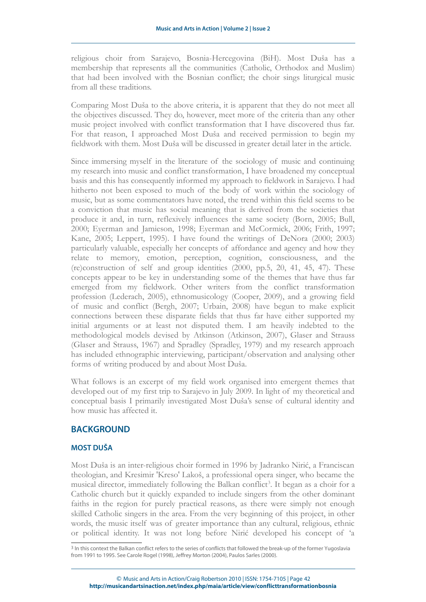religious choir from Sarajevo, Bosnia-Hercegovina (BiH). Most Duša has a membership that represents all the communities (Catholic, Orthodox and Muslim) that had been involved with the Bosnian conflict; the choir sings liturgical music from all these traditions.

Comparing Most Duša to the above criteria, it is apparent that they do not meet all the objectives discussed. They do, however, meet more of the criteria than any other music project involved with conflict transformation that I have discovered thus far. For that reason, I approached Most Duša and received permission to begin my fieldwork with them. Most Duša will be discussed in greater detail later in the article.

Since immersing myself in the literature of the sociology of music and continuing my research into music and conflict transformation, I have broadened my conceptual basis and this has consequently informed my approach to fieldwork in Sarajevo. I had hitherto not been exposed to much of the body of work within the sociology of music, but as some commentators have noted, the trend within this field seems to be a conviction that music has social meaning that is derived from the societies that produce it and, in turn, reflexively influences the same society (Born, 2005; Bull, 2000; Eyerman and Jamieson, 1998; Eyerman and McCormick, 2006; Frith, 1997; Kane, 2005; Leppert, 1995). I have found the writings of DeNora (2000; 2003) particularly valuable, especially her concepts of affordance and agency and how they relate to memory, emotion, perception, cognition, consciousness, and the (re)construction of self and group identities (2000, pp.5, 20, 41, 45, 47). These concepts appear to be key in understanding some of the themes that have thus far emerged from my fieldwork. Other writers from the conflict transformation profession (Lederach, 2005), ethnomusicology (Cooper, 2009), and a growing field of music and conflict (Bergh, 2007; Urbain, 2008) have begun to make explicit connections between these disparate fields that thus far have either supported my initial arguments or at least not disputed them. I am heavily indebted to the methodological models devised by Atkinson (Atkinson, 2007), Glaser and Strauss (Glaser and Strauss, 1967) and Spradley (Spradley, 1979) and my research approach has included ethnographic interviewing, participant/observation and analysing other forms of writing produced by and about Most Duša.

What follows is an excerpt of my field work organised into emergent themes that developed out of my first trip to Sarajevo in July 2009. In light of my theoretical and conceptual basis I primarily investigated Most Duša's sense of cultural identity and how music has affected it.

## **BACKGROUND**

## **MOST DUŠA**

Most Duša is an inter-religious choir formed in 1996 by Jadranko Nirić, a Franciscan theologian, and Kresimir 'Kreso' Lakoš, a professional opera singer, who became the musical director, immediately following the Balkan conflict<sup>[3](#page-4-0)</sup>. It began as a choir for a Catholic church but it quickly expanded to include singers from the other dominant faiths in the region for purely practical reasons, as there were simply not enough skilled Catholic singers in the area. From the very beginning of this project, in other words, the music itself was of greater importance than any cultural, religious, ethnic or political identity. It was not long before Nirić developed his concept of 'a

<span id="page-4-0"></span><sup>3</sup> In this context the Balkan conflict refers to the series of conflicts that followed the break-up of the former Yugoslavia from 1991 to 1995. See Carole Rogel (1998), Jeffrey Morton (2004), Paulos Sarles (2000).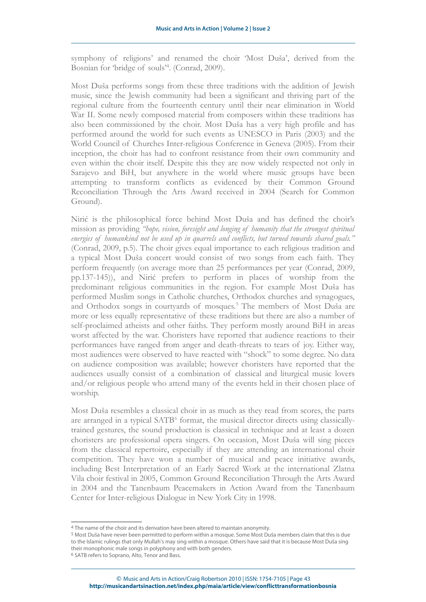symphony of religions' and renamed the choir 'Most Duša', derived from the Bosnian for 'bridge of souls'[4](#page-5-0) . (Conrad, 2009).

Most Duša performs songs from these three traditions with the addition of Jewish music, since the Jewish community had been a significant and thriving part of the regional culture from the fourteenth century until their near elimination in World War II. Some newly composed material from composers within these traditions has also been commissioned by the choir. Most Duša has a very high profile and has performed around the world for such events as UNESCO in Paris (2003) and the World Council of Churches Inter-religious Conference in Geneva (2005). From their inception, the choir has had to confront resistance from their own community and even within the choir itself. Despite this they are now widely respected not only in Sarajevo and BiH, but anywhere in the world where music groups have been attempting to transform conflicts as evidenced by their Common Ground Reconciliation Through the Arts Award received in 2004 (Search for Common Ground).

Nirić is the philosophical force behind Most Duša and has defined the choir's mission as providing *"hope, vision, foresight and longing of humanity that the strongest spiritual energies of humankind not be used up in quarrels and conflicts, but turned towards shared goals."* (Conrad, 2009, p.5). The choir gives equal importance to each religious tradition and a typical Most Duša concert would consist of two songs from each faith. They perform frequently (on average more than 25 performances per year (Conrad, 2009, pp.137-145)), and Nirić prefers to perform in places of worship from the predominant religious communities in the region. For example Most Duša has performed Muslim songs in Catholic churches, Orthodox churches and synagogues, and Orthodox songs in courtyards of mosques.<sup>[5](#page-5-1)</sup> The members of Most Duša are more or less equally representative of these traditions but there are also a number of self-proclaimed atheists and other faiths. They perform mostly around BiH in areas worst affected by the war. Choristers have reported that audience reactions to their performances have ranged from anger and death-threats to tears of joy. Either way, most audiences were observed to have reacted with "shock" to some degree. No data on audience composition was available; however choristers have reported that the audiences usually consist of a combination of classical and liturgical music lovers and/or religious people who attend many of the events held in their chosen place of worship.

Most Duša resembles a classical choir in as much as they read from scores, the parts are arranged in a typical SATB<sup>[6](#page-5-2)</sup> format, the musical director directs using classicallytrained gestures, the sound production is classical in technique and at least a dozen choristers are professional opera singers. On occasion, Most Duša will sing pieces from the classical repertoire, especially if they are attending an international choir competition. They have won a number of musical and peace initiative awards, including Best Interpretation of an Early Sacred Work at the international Zlatna Vila choir festival in 2005, Common Ground Reconciliation Through the Arts Award in 2004 and the Tanenbaum Peacemakers in Action Award from the Tanenbaum Center for Inter-religious Dialogue in New York City in 1998.

<span id="page-5-0"></span><sup>4</sup> The name of the choir and its derivation have been altered to maintain anonymity.

<span id="page-5-1"></span><sup>5</sup> Most Duša have never been permitted to perform within a mosque. Some Most Duša members claim that this is due to the Islamic rulings that only Mullah's may sing within a mosque. Others have said that it is because Most Duša sing their monophonic male songs in polyphony and with both genders.

<span id="page-5-2"></span><sup>6</sup> SATB refers to Soprano, Alto, Tenor and Bass.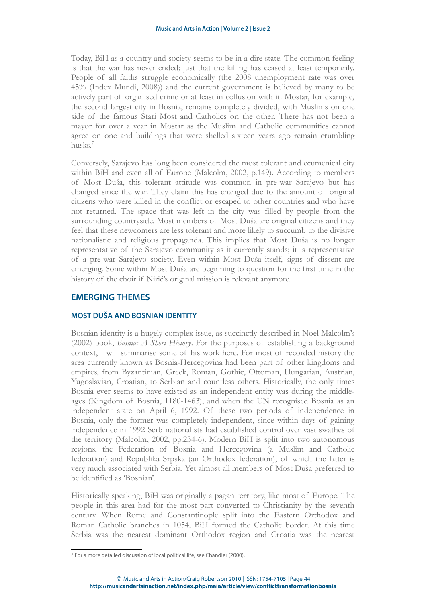Today, BiH as a country and society seems to be in a dire state. The common feeling is that the war has never ended; just that the killing has ceased at least temporarily. People of all faiths struggle economically (the 2008 unemployment rate was over 45% (Index Mundi, 2008)) and the current government is believed by many to be actively part of organised crime or at least in collusion with it. Mostar, for example, the second largest city in Bosnia, remains completely divided, with Muslims on one side of the famous Stari Most and Catholics on the other. There has not been a mayor for over a year in Mostar as the Muslim and Catholic communities cannot agree on one and buildings that were shelled sixteen years ago remain crumbling husks.[7](#page-6-0)

Conversely, Sarajevo has long been considered the most tolerant and ecumenical city within BiH and even all of Europe (Malcolm, 2002, p.149). According to members of Most Duša, this tolerant attitude was common in pre-war Sarajevo but has changed since the war. They claim this has changed due to the amount of original citizens who were killed in the conflict or escaped to other countries and who have not returned. The space that was left in the city was filled by people from the surrounding countryside. Most members of Most Duša are original citizens and they feel that these newcomers are less tolerant and more likely to succumb to the divisive nationalistic and religious propaganda. This implies that Most Duša is no longer representative of the Sarajevo community as it currently stands; it is representative of a pre-war Sarajevo society. Even within Most Duša itself, signs of dissent are emerging. Some within Most Duša are beginning to question for the first time in the history of the choir if Nirić's original mission is relevant anymore.

## **EMERGING THEMES**

## **MOST DUŠA AND BOSNIAN IDENTITY**

Bosnian identity is a hugely complex issue, as succinctly described in Noel Malcolm's (2002) book, *Bosnia: A Short History*. For the purposes of establishing a background context, I will summarise some of his work here. For most of recorded history the area currently known as Bosnia-Hercegovina had been part of other kingdoms and empires, from Byzantinian, Greek, Roman, Gothic, Ottoman, Hungarian, Austrian, Yugoslavian, Croatian, to Serbian and countless others. Historically, the only times Bosnia ever seems to have existed as an independent entity was during the middleages (Kingdom of Bosnia, 1180-1463), and when the UN recognised Bosnia as an independent state on April 6, 1992. Of these two periods of independence in Bosnia, only the former was completely independent, since within days of gaining independence in 1992 Serb nationalists had established control over vast swathes of the territory (Malcolm, 2002, pp.234-6). Modern BiH is split into two autonomous regions, the Federation of Bosnia and Hercegovina (a Muslim and Catholic federation) and Republika Srpska (an Orthodox federation), of which the latter is very much associated with Serbia. Yet almost all members of Most Duša preferred to be identified as 'Bosnian'.

Historically speaking, BiH was originally a pagan territory, like most of Europe. The people in this area had for the most part converted to Christianity by the seventh century. When Rome and Constantinople split into the Eastern Orthodox and Roman Catholic branches in 1054, BiH formed the Catholic border. At this time Serbia was the nearest dominant Orthodox region and Croatia was the nearest

<span id="page-6-0"></span><sup>7</sup> For a more detailed discussion of local political life, see Chandler (2000).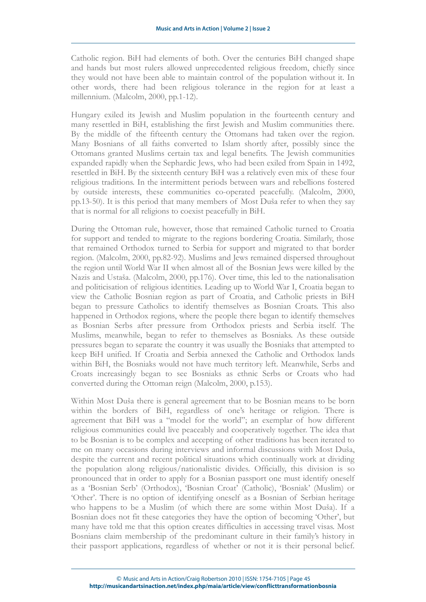Catholic region. BiH had elements of both. Over the centuries BiH changed shape and hands but most rulers allowed unprecedented religious freedom, chiefly since they would not have been able to maintain control of the population without it. In other words, there had been religious tolerance in the region for at least a millennium. (Malcolm, 2000, pp.1-12).

Hungary exiled its Jewish and Muslim population in the fourteenth century and many resettled in BiH, establishing the first Jewish and Muslim communities there. By the middle of the fifteenth century the Ottomans had taken over the region. Many Bosnians of all faiths converted to Islam shortly after, possibly since the Ottomans granted Muslims certain tax and legal benefits. The Jewish communities expanded rapidly when the Sephardic Jews, who had been exiled from Spain in 1492, resettled in BiH. By the sixteenth century BiH was a relatively even mix of these four religious traditions. In the intermittent periods between wars and rebellions fostered by outside interests, these communities co-operated peacefully. (Malcolm, 2000, pp.13-50). It is this period that many members of Most Duša refer to when they say that is normal for all religions to coexist peacefully in BiH.

During the Ottoman rule, however, those that remained Catholic turned to Croatia for support and tended to migrate to the regions bordering Croatia. Similarly, those that remained Orthodox turned to Serbia for support and migrated to that border region. (Malcolm, 2000, pp.82-92). Muslims and Jews remained dispersed throughout the region until World War II when almost all of the Bosnian Jews were killed by the Nazis and Ustaša. (Malcolm, 2000, pp.176). Over time, this led to the nationalisation and politicisation of religious identities. Leading up to World War I, Croatia began to view the Catholic Bosnian region as part of Croatia, and Catholic priests in BiH began to pressure Catholics to identify themselves as Bosnian Croats. This also happened in Orthodox regions, where the people there began to identify themselves as Bosnian Serbs after pressure from Orthodox priests and Serbia itself. The Muslims, meanwhile, began to refer to themselves as Bosniaks. As these outside pressures began to separate the country it was usually the Bosniaks that attempted to keep BiH unified. If Croatia and Serbia annexed the Catholic and Orthodox lands within BiH, the Bosniaks would not have much territory left. Meanwhile, Serbs and Croats increasingly began to see Bosniaks as ethnic Serbs or Croats who had converted during the Ottoman reign (Malcolm, 2000, p.153).

Within Most Duša there is general agreement that to be Bosnian means to be born within the borders of BiH, regardless of one's heritage or religion. There is agreement that BiH was a "model for the world"; an exemplar of how different religious communities could live peaceably and cooperatively together. The idea that to be Bosnian is to be complex and accepting of other traditions has been iterated to me on many occasions during interviews and informal discussions with Most Duša, despite the current and recent political situations which continually work at dividing the population along religious/nationalistic divides. Officially, this division is so pronounced that in order to apply for a Bosnian passport one must identify oneself as a 'Bosnian Serb' (Orthodox), 'Bosnian Croat' (Catholic), 'Bosniak' (Muslim) or 'Other'. There is no option of identifying oneself as a Bosnian of Serbian heritage who happens to be a Muslim (of which there are some within Most Duša). If a Bosnian does not fit these categories they have the option of becoming 'Other', but many have told me that this option creates difficulties in accessing travel visas. Most Bosnians claim membership of the predominant culture in their family's history in their passport applications, regardless of whether or not it is their personal belief.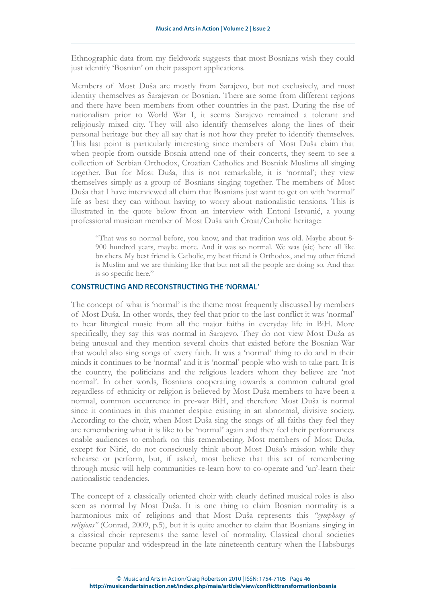Ethnographic data from my fieldwork suggests that most Bosnians wish they could just identify 'Bosnian' on their passport applications.

Members of Most Duša are mostly from Sarajevo, but not exclusively, and most identity themselves as Sarajevan or Bosnian. There are some from different regions and there have been members from other countries in the past. During the rise of nationalism prior to World War I, it seems Sarajevo remained a tolerant and religiously mixed city. They will also identify themselves along the lines of their personal heritage but they all say that is not how they prefer to identify themselves. This last point is particularly interesting since members of Most Duša claim that when people from outside Bosnia attend one of their concerts, they seem to see a collection of Serbian Orthodox, Croatian Catholics and Bosniak Muslims all singing together. But for Most Duša, this is not remarkable, it is 'normal'; they view themselves simply as a group of Bosnians singing together. The members of Most Duša that I have interviewed all claim that Bosnians just want to get on with 'normal' life as best they can without having to worry about nationalistic tensions. This is illustrated in the quote below from an interview with Entoni Istvanić, a young professional musician member of Most Duša with Croat/Catholic heritage:

"That was so normal before, you know, and that tradition was old. Maybe about 8- 900 hundred years, maybe more. And it was so normal. We was (sic) here all like brothers. My best friend is Catholic, my best friend is Orthodox, and my other friend is Muslim and we are thinking like that but not all the people are doing so. And that is so specific here."

### **CONSTRUCTING AND RECONSTRUCTING THE 'NORMAL'**

The concept of what is 'normal' is the theme most frequently discussed by members of Most Duša. In other words, they feel that prior to the last conflict it was 'normal' to hear liturgical music from all the major faiths in everyday life in BiH. More specifically, they say this was normal in Sarajevo. They do not view Most Duša as being unusual and they mention several choirs that existed before the Bosnian War that would also sing songs of every faith. It was a 'normal' thing to do and in their minds it continues to be 'normal' and it is 'normal' people who wish to take part. It is the country, the politicians and the religious leaders whom they believe are 'not normal'. In other words, Bosnians cooperating towards a common cultural goal regardless of ethnicity or religion is believed by Most Duša members to have been a normal, common occurrence in pre-war BiH, and therefore Most Duša is normal since it continues in this manner despite existing in an abnormal, divisive society. According to the choir, when Most Duša sing the songs of all faiths they feel they are remembering what it is like to be 'normal' again and they feel their performances enable audiences to embark on this remembering. Most members of Most Duša, except for Nirić, do not consciously think about Most Duša's mission while they rehearse or perform, but, if asked, most believe that this act of remembering through music will help communities re-learn how to co-operate and 'un'-learn their nationalistic tendencies.

The concept of a classically oriented choir with clearly defined musical roles is also seen as normal by Most Duša. It is one thing to claim Bosnian normality is a harmonious mix of religions and that Most Duša represents this *"symphony of religions"* (Conrad, 2009, p.5), but it is quite another to claim that Bosnians singing in a classical choir represents the same level of normality. Classical choral societies became popular and widespread in the late nineteenth century when the Habsburgs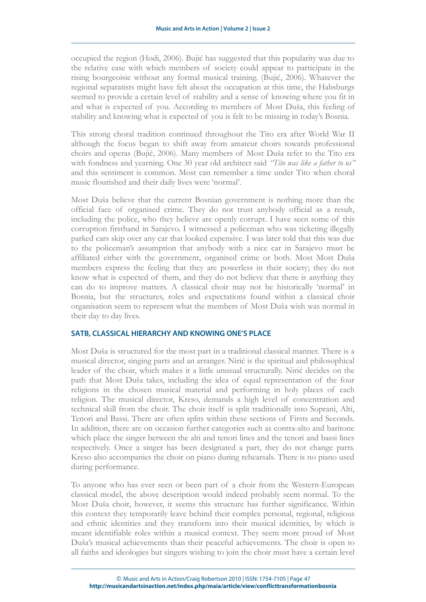occupied the region (Hodi, 2006). Bujić has suggested that this popularity was due to the relative ease with which members of society could appear to participate in the rising bourgeoisie without any formal musical training. (Bujić, 2006). Whatever the regional separatists might have felt about the occupation at this time, the Habsburgs seemed to provide a certain level of stability and a sense of knowing where you fit in and what is expected of you. According to members of Most Duša, this feeling of stability and knowing what is expected of you is felt to be missing in today's Bosnia.

This strong choral tradition continued throughout the Tito era after World War II although the focus began to shift away from amateur choirs towards professional choirs and operas (Bujić, 2006). Many members of Most Duša refer to the Tito era with fondness and yearning. One 30 year old architect said *"Tito was like a father to us"* and this sentiment is common. Most can remember a time under Tito when choral music flourished and their daily lives were 'normal'.

Most Duša believe that the current Bosnian government is nothing more than the official face of organised crime. They do not trust anybody official as a result, including the police, who they believe are openly corrupt. I have seen some of this corruption firsthand in Sarajevo. I witnessed a policeman who was ticketing illegally parked cars skip over any car that looked expensive. I was later told that this was due to the policeman's assumption that anybody with a nice car in Sarajevo must be affiliated either with the government, organised crime or both. Most Most Duša members express the feeling that they are powerless in their society; they do not know what is expected of them, and they do not believe that there is anything they can do to improve matters. A classical choir may not be historically 'normal' in Bosnia, but the structures, roles and expectations found within a classical choir organisation seem to represent what the members of Most Duša wish was normal in their day to day lives.

#### **SATB, CLASSICAL HIERARCHY AND KNOWING ONE'S PLACE**

Most Duša is structured for the most part in a traditional classical manner. There is a musical director, singing parts and an arranger. Nirić is the spiritual and philosophical leader of the choir, which makes it a little unusual structurally. Nirić decides on the path that Most Duša takes, including the idea of equal representation of the four religions in the chosen musical material and performing in holy places of each religion. The musical director, Kreso, demands a high level of concentration and technical skill from the choir. The choir itself is split traditionally into Soprani, Alti, Tenori and Bassi. There are often splits within these sections of Firsts and Seconds. In addition, there are on occasion further categories such as contra-alto and baritone which place the singer between the alti and tenori lines and the tenori and bassi lines respectively. Once a singer has been designated a part, they do not change parts. Kreso also accompanies the choir on piano during rehearsals. There is no piano used during performance.

To anyone who has ever seen or been part of a choir from the Western-European classical model, the above description would indeed probably seem normal. To the Most Duša choir, however, it seems this structure has further significance. Within this context they temporarily leave behind their complex personal, regional, religious and ethnic identities and they transform into their musical identities, by which is meant identifiable roles within a musical context. They seem more proud of Most Duša's musical achievements than their peaceful achievements. The choir is open to all faiths and ideologies but singers wishing to join the choir must have a certain level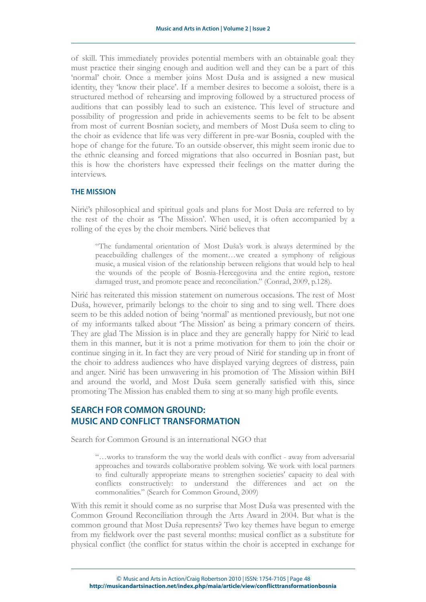of skill. This immediately provides potential members with an obtainable goal: they must practice their singing enough and audition well and they can be a part of this 'normal' choir. Once a member joins Most Duša and is assigned a new musical identity, they 'know their place'. If a member desires to become a soloist, there is a structured method of rehearsing and improving followed by a structured process of auditions that can possibly lead to such an existence. This level of structure and possibility of progression and pride in achievements seems to be felt to be absent from most of current Bosnian society, and members of Most Duša seem to cling to the choir as evidence that life was very different in pre-war Bosnia, coupled with the hope of change for the future. To an outside observer, this might seem ironic due to the ethnic cleansing and forced migrations that also occurred in Bosnian past, but this is how the choristers have expressed their feelings on the matter during the interviews.

#### **THE MISSION**

Nirić's philosophical and spiritual goals and plans for Most Duša are referred to by the rest of the choir as 'The Mission'. When used, it is often accompanied by a rolling of the eyes by the choir members. Nirić believes that

"The fundamental orientation of Most Duša's work is always determined by the peacebuilding challenges of the moment…we created a symphony of religious music, a musical vision of the relationship between religions that would help to heal the wounds of the people of Bosnia-Hercegovina and the entire region, restore damaged trust, and promote peace and reconciliation." (Conrad, 2009, p.128).

Nirić has reiterated this mission statement on numerous occasions. The rest of Most Duša, however, primarily belongs to the choir to sing and to sing well. There does seem to be this added notion of being 'normal' as mentioned previously, but not one of my informants talked about 'The Mission' as being a primary concern of theirs. They are glad The Mission is in place and they are generally happy for Nirić to lead them in this manner, but it is not a prime motivation for them to join the choir or continue singing in it. In fact they are very proud of Nirić for standing up in front of the choir to address audiences who have displayed varying degrees of distress, pain and anger. Nirić has been unwavering in his promotion of The Mission within BiH and around the world, and Most Duša seem generally satisfied with this, since promoting The Mission has enabled them to sing at so many high profile events.

# **SEARCH FOR COMMON GROUND: MUSIC AND CONFLICT TRANSFORMATION**

Search for Common Ground is an international NGO that

"…works to transform the way the world deals with conflict - away from adversarial approaches and towards collaborative problem solving. We work with local partners to find culturally appropriate means to strengthen societies' capacity to deal with conflicts constructively: to understand the differences and act on the commonalities." (Search for Common Ground, 2009)

With this remit it should come as no surprise that Most Duša was presented with the Common Ground Reconciliation through the Arts Award in 2004. But what is the common ground that Most Duša represents? Two key themes have begun to emerge from my fieldwork over the past several months: musical conflict as a substitute for physical conflict (the conflict for status within the choir is accepted in exchange for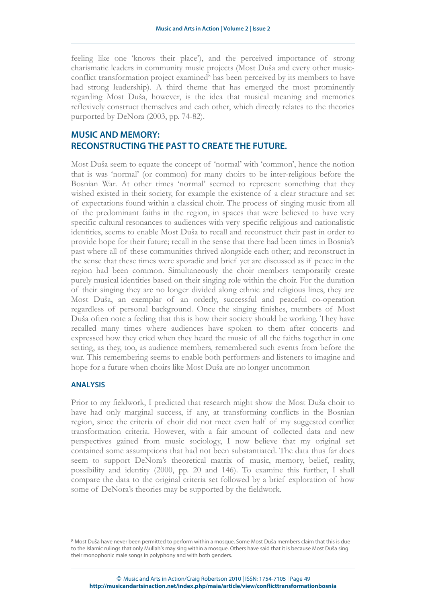feeling like one 'knows their place'), and the perceived importance of strong charismatic leaders in community music projects (Most Duša and every other music-conflict transformation project examined<sup>[8](#page-11-0)</sup> has been perceived by its members to have had strong leadership). A third theme that has emerged the most prominently regarding Most Duša, however, is the idea that musical meaning and memories reflexively construct themselves and each other, which directly relates to the theories purported by DeNora (2003, pp. 74-82).

# **MUSIC AND MEMORY: RECONSTRUCTING THE PAST TO CREATE THE FUTURE.**

Most Duša seem to equate the concept of 'normal' with 'common', hence the notion that is was 'normal' (or common) for many choirs to be inter-religious before the Bosnian War. At other times 'normal' seemed to represent something that they wished existed in their society, for example the existence of a clear structure and set of expectations found within a classical choir. The process of singing music from all of the predominant faiths in the region, in spaces that were believed to have very specific cultural resonances to audiences with very specific religious and nationalistic identities, seems to enable Most Duša to recall and reconstruct their past in order to provide hope for their future; recall in the sense that there had been times in Bosnia's past where all of these communities thrived alongside each other; and reconstruct in the sense that these times were sporadic and brief yet are discussed as if peace in the region had been common. Simultaneously the choir members temporarily create purely musical identities based on their singing role within the choir. For the duration of their singing they are no longer divided along ethnic and religious lines, they are Most Duša, an exemplar of an orderly, successful and peaceful co-operation regardless of personal background. Once the singing finishes, members of Most Duša often note a feeling that this is how their society should be working. They have recalled many times where audiences have spoken to them after concerts and expressed how they cried when they heard the music of all the faiths together in one setting, as they, too, as audience members, remembered such events from before the war. This remembering seems to enable both performers and listeners to imagine and hope for a future when choirs like Most Duša are no longer uncommon

#### **ANALYSIS**

Prior to my fieldwork, I predicted that research might show the Most Duša choir to have had only marginal success, if any, at transforming conflicts in the Bosnian region, since the criteria of choir did not meet even half of my suggested conflict transformation criteria. However, with a fair amount of collected data and new perspectives gained from music sociology, I now believe that my original set contained some assumptions that had not been substantiated. The data thus far does seem to support DeNora's theoretical matrix of music, memory, belief, reality, possibility and identity (2000, pp. 20 and 146). To examine this further, I shall compare the data to the original criteria set followed by a brief exploration of how some of DeNora's theories may be supported by the fieldwork.

<span id="page-11-0"></span><sup>8</sup> Most Duša have never been permitted to perform within a mosque. Some Most Duša members claim that this is due to the Islamic rulings that only Mullah's may sing within a mosque. Others have said that it is because Most Duša sing their monophonic male songs in polyphony and with both genders.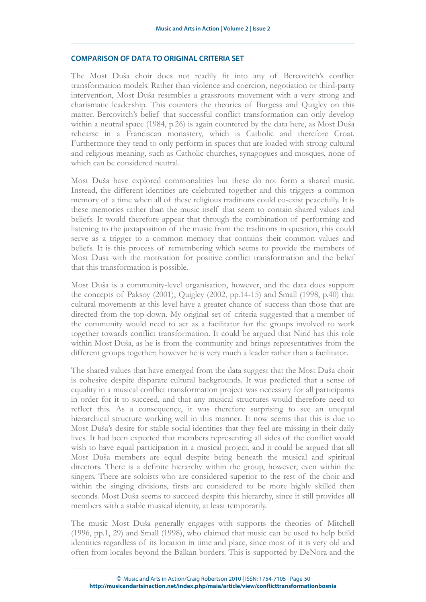#### **COMPARISON OF DATA TO ORIGINAL CRITERIA SET**

The Most Duša choir does not readily fit into any of Bercovitch's conflict transformation models. Rather than violence and coercion, negotiation or third-party intervention, Most Duša resembles a grassroots movement with a very strong and charismatic leadership. This counters the theories of Burgess and Quigley on this matter. Bercovitch's belief that successful conflict transformation can only develop within a neutral space (1984, p.26) is again countered by the data here, as Most Duša rehearse in a Franciscan monastery, which is Catholic and therefore Croat. Furthermore they tend to only perform in spaces that are loaded with strong cultural and religious meaning, such as Catholic churches, synagogues and mosques, none of which can be considered neutral.

Most Duša have explored commonalities but these do not form a shared music. Instead, the different identities are celebrated together and this triggers a common memory of a time when all of these religious traditions could co-exist peacefully. It is these memories rather than the music itself that seem to contain shared values and beliefs. It would therefore appear that through the combination of performing and listening to the juxtaposition of the music from the traditions in question, this could serve as a trigger to a common memory that contains their common values and beliefs. It is this process of remembering which seems to provide the members of Most Dusa with the motivation for positive conflict transformation and the belief that this transformation is possible.

Most Duša is a community-level organisation, however, and the data does support the concepts of Paksoy (2001), Quigley (2002, pp.14-15) and Small (1998, p.40) that cultural movements at this level have a greater chance of success than those that are directed from the top-down. My original set of criteria suggested that a member of the community would need to act as a facilitator for the groups involved to work together towards conflict transformation. It could be argued that Nirić has this role within Most Duša, as he is from the community and brings representatives from the different groups together; however he is very much a leader rather than a facilitator.

The shared values that have emerged from the data suggest that the Most Duša choir is cohesive despite disparate cultural backgrounds. It was predicted that a sense of equality in a musical conflict transformation project was necessary for all participants in order for it to succeed, and that any musical structures would therefore need to reflect this. As a consequence, it was therefore surprising to see an unequal hierarchical structure working well in this manner. It now seems that this is due to Most Duša's desire for stable social identities that they feel are missing in their daily lives. It had been expected that members representing all sides of the conflict would wish to have equal participation in a musical project, and it could be argued that all Most Duša members are equal despite being beneath the musical and spiritual directors. There is a definite hierarchy within the group, however, even within the singers. There are soloists who are considered superior to the rest of the choir and within the singing divisions, firsts are considered to be more highly skilled then seconds. Most Duša seems to succeed despite this hierarchy, since it still provides all members with a stable musical identity, at least temporarily.

The music Most Duša generally engages with supports the theories of Mitchell (1996, pp.1, 29) and Small (1998), who claimed that music can be used to help build identities regardless of its location in time and place, since most of it is very old and often from locales beyond the Balkan borders. This is supported by DeNora and the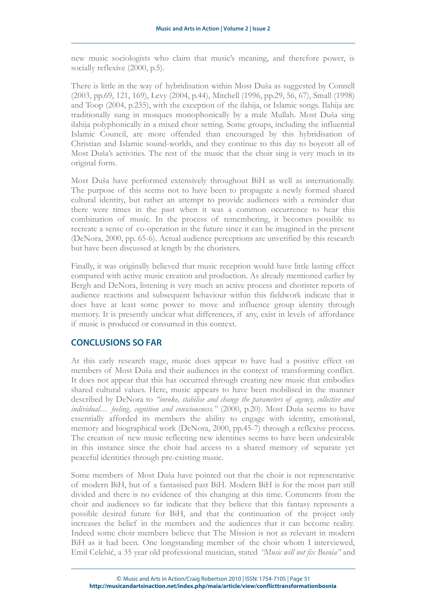new music sociologists who claim that music's meaning, and therefore power, is socially reflexive  $(2000, p.5)$ .

There is little in the way of hybridisation within Most Duša as suggested by Connell (2003, pp.69, 121, 169), Levy (2004, p.44), Mitchell (1996, pp.29, 56, 67), Small (1998) and Toop (2004, p.235), with the exception of the ilahija, or Islamic songs. Ilahija are traditionally sung in mosques monophonically by a male Mullah. Most Duša sing ilahija polyphonically in a mixed choir setting. Some groups, including the influential Islamic Council, are more offended than encouraged by this hybridisation of Christian and Islamic sound-worlds, and they continue to this day to boycott all of Most Duša's activities. The rest of the music that the choir sing is very much in its original form.

Most Duša have performed extensively throughout BiH as well as internationally. The purpose of this seems not to have been to propagate a newly formed shared cultural identity, but rather an attempt to provide audiences with a reminder that there were times in the past when it was a common occurrence to hear this combination of music. In the process of remembering, it becomes possible to recreate a sense of co-operation in the future since it can be imagined in the present (DeNora, 2000, pp. 65-6). Actual audience perceptions are unverified by this research but have been discussed at length by the choristers.

Finally, it was originally believed that music reception would have little lasting effect compared with active music creation and production. As already mentioned earlier by Bergh and DeNora, listening is very much an active process and chorister reports of audience reactions and subsequent behaviour within this fieldwork indicate that it does have at least some power to move and influence group identity through memory. It is presently unclear what differences, if any, exist in levels of affordance if music is produced or consumed in this context.

## **CONCLUSIONS SO FAR**

At this early research stage, music does appear to have had a positive effect on members of Most Duša and their audiences in the context of transforming conflict. It does not appear that this has occurred through creating new music that embodies shared cultural values. Here, music appears to have been mobilised in the manner described by DeNora to *"invoke, stabilise and change the parameters of agency, collective and individual… feeling, cognition and consciousness."* (2000, p.20). Most Duša seems to have essentially afforded its members the ability to engage with identity, emotional, memory and biographical work (DeNora, 2000, pp.45-7) through a reflexive process. The creation of new music reflecting new identities seems to have been undesirable in this instance since the choir had access to a shared memory of separate yet peaceful identities through pre-existing music.

Some members of Most Duša have pointed out that the choir is not representative of modern BiH, but of a fantasised past BiH. Modern BiH is for the most part still divided and there is no evidence of this changing at this time. Comments from the choir and audiences so far indicate that they believe that this fantasy represents a possible desired future for BiH, and that the continuation of the project only increases the belief in the members and the audiences that it can become reality. Indeed some choir members believe that The Mission is not as relevant in modern BiH as it had been. One longstanding member of the choir whom I interviewed, Emil Celebić, a 35 year old professional musician, stated *"Music will not fix Bosnia"* and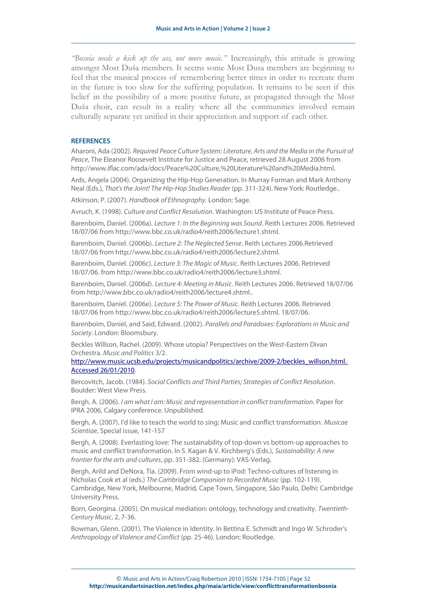*"Bosnia needs a kick up the ass, not more music."* Increasingly, this attitude is growing amongst Most Duša members. It seems some Most Dusa members are beginning to feel that the musical process of remembering better times in order to recreate them in the future is too slow for the suffering population. It remains to be seen if this belief in the possibility of a more positive future, as propagated through the Most Duša choir, can result in a reality where all the communities involved remain culturally separate yet unified in their appreciation and support of each other.

#### **REFERENCES**

Aharoni, Ada (2002). Required Peace Culture System: Literature, Arts and the Media in the Pursuit of Peace, The Eleanor Roosevelt Institute for Justice and Peace, retrieved 28 August 2006 from http://www.iflac.com/ada/docs/Peace%20Culture,%20Literature%20and%20Media.html.

Ards, Angela (2004). Organizing the Hip-Hop Generation. In Murray Forman and Mark Anthony Neal (Eds.), That's the Joint! The Hip-Hop Studies Reader (pp. 311-324). New York: Routledge..

Atkinson, P. (2007). Handbook of Ethnography. London: Sage.

Avruch, K. (1998). Culture and Conflict Resolution. Washington: US Institute of Peace Press.

Barenboim, Daniel. (2006a). Lecture 1: In the Beginning was Sound. Reith Lectures 2006. Retrieved 18/07/06 from http://www.bbc.co.uk/radio4/reith2006/lecture1.shtml.

Barenboim, Daniel. (2006b). Lecture 2: The Neglected Sense. Reith Lectures 2006.Retrieved 18/07/06 from http://www.bbc.co.uk/radio4/reith2006/lecture2.shtml.

Barenboim, Daniel. (2006c). Lecture 3: The Magic of Music. Reith Lectures 2006. Retrieved 18/07/06. from http://www.bbc.co.uk/radio4/reith2006/lecture3.shtml.

Barenboim, Daniel. (2006d). Lecture 4: Meeting in Music. Reith Lectures 2006. Retrieved 18/07/06 from http://www.bbc.co.uk/radio4/reith2006/lecture4.shtml..

Barenboim, Daniel. (2006e). Lecture 5: The Power of Music. Reith Lectures 2006. Retrieved 18/07/06 from http://www.bbc.co.uk/radio4/reith2006/lecture5.shtml. 18/07/06.

Barenboim, Daniel, and Said, Edward. (2002). Parallels and Paradoxes: Explorations in Music and Society. London: Bloomsbury.

Beckles Willson, Rachel. (2009). Whose utopia? Perspectives on the West-Eastern Divan Orchestra. Music and Politics 3/2.

[http://www.music.ucsb.edu/projects/musicandpolitics/archive/2009-2/beckles\\_willson.html.](http://www.music.ucsb.edu/projects/musicandpolitics/archive/2009-2/beckles_willson.html.%20Accessed%2026/01/2010) [Accessed 26/01/2010.](http://www.music.ucsb.edu/projects/musicandpolitics/archive/2009-2/beckles_willson.html.%20Accessed%2026/01/2010)

Bercovitch, Jacob. (1984). Social Conflicts and Third Parties; Strategies of Conflict Resolution. Boulder: West View Press.

Bergh, A. (2006). I am what I am: Music and representation in conflict transformation. Paper for IPRA 2006, Calgary conference. Unpublished.

Bergh, A. (2007). I'd like to teach the world to sing: Music and conflict transformation. Musicae Scientiae, Special issue, 141-157

Bergh, A. (2008). Everlasting love: The sustainability of top-down vs bottom-up approaches to music and conflict transformation. In S. Kagan & V. Kirchberg's (Eds.), Sustainability: A new frontier for the arts and cultures, pp. 351-382. (Germany): VAS-Verlag.

Bergh, Arild and DeNora, Tia. (2009). From wind-up to iPod: Techno-cultures of listening in Nicholas Cook et al (eds.) The Cambridge Companion to Recorded Music (pp. 102-119). Cambridge, New York, Melbourne, Madrid, Cape Town, Singapore, São Paulo, Delhi: Cambridge University Press.

Born, Georgina. (2005). On musical mediation: ontology, technology and creativity. Twentieth-Century Music, 2, 7-36.

Bowman, Glenn. (2001). The Violence in Identity. In Bettina E. Schmidt and Ingo W. Schroder's Anthropology of Violence and Conflict (pp. 25-46). London: Routledge.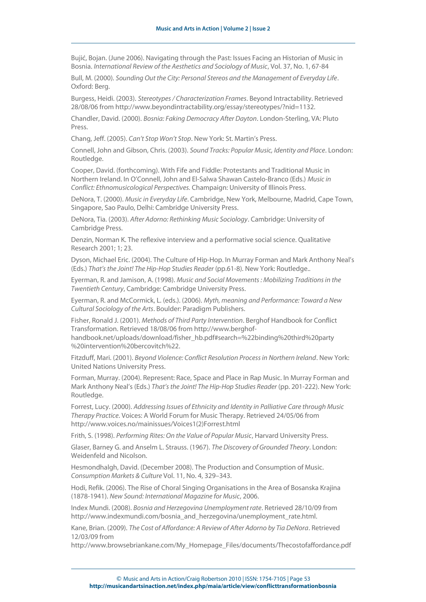Bujić, Bojan. (June 2006). Navigating through the Past: Issues Facing an Historian of Music in Bosnia. International Review of the Aesthetics and Sociology of Music, Vol. 37, No. 1, 67-84

Bull, M. (2000). Sounding Out the City: Personal Stereos and the Management of Everyday Life. Oxford: Berg.

Burgess, Heidi. (2003). Stereotypes / Characterization Frames. Beyond Intractability. Retrieved 28/08/06 from http://www.beyondintractability.org/essay/stereotypes/?nid=1132.

Chandler, David. (2000). Bosnia: Faking Democracy After Dayton. London-Sterling, VA: Pluto Press.

Chang, Jeff. (2005). Can't Stop Won't Stop. New York: St. Martin's Press.

Connell, John and Gibson, Chris. (2003). Sound Tracks: Popular Music, Identity and Place. London: Routledge.

Cooper, David. (forthcoming). With Fife and Fiddle: Protestants and Traditional Music in Northern Ireland. In O'Connell, John and El-Salwa Shawan Castelo-Branco (Eds.) Music in Conflict: Ethnomusicological Perspectives. Champaign: University of Illinois Press.

DeNora, T. (2000). Music in Everyday Life. Cambridge, New York, Melbourne, Madrid, Cape Town, Singapore, Sao Paulo, Delhi: Cambridge University Press.

DeNora, Tia. (2003). After Adorno: Rethinking Music Sociology. Cambridge: University of Cambridge Press.

Denzin, Norman K. The reflexive interview and a performative social science. Qualitative Research 2001; 1; 23.

Dyson, Michael Eric. (2004). The Culture of Hip-Hop. In Murray Forman and Mark Anthony Neal's (Eds.) That's the Joint! The Hip-Hop Studies Reader (pp.61-8). New York: Routledge..

Eyerman, R. and Jamison, A. (1998). Music and Social Movements : Mobilizing Traditions in the Twentieth Century, Cambridge: Cambridge University Press.

Eyerman, R. and McCormick, L. (eds.). (2006). Myth, meaning and Performance: Toward a New Cultural Sociology of the Arts. Boulder: Paradigm Publishers.

Fisher, Ronald J. (2001). Methods of Third Party Intervention. Berghof Handbook for Conflict Transformation. Retrieved 18/08/06 from http://www.berghof-

handbook.net/uploads/download/fisher\_hb.pdf#search=%22binding%20third%20party %20intervention%20bercovitch%22.

Fitzduff, Mari. (2001). Beyond Violence: Conflict Resolution Process in Northern Ireland. New York: United Nations University Press.

Forman, Murray. (2004). Represent: Race, Space and Place in Rap Music. In Murray Forman and Mark Anthony Neal's (Eds.) That's the Joint! The Hip-Hop Studies Reader (pp. 201-222). New York: Routledge.

Forrest, Lucy. (2000). Addressing Issues of Ethnicity and Identity in Palliative Care through Music Therapy Practice. Voices: A World Forum for Music Therapy. Retrieved 24/05/06 from http://www.voices.no/mainissues/Voices1(2)Forrest.html

Frith, S. (1998). Performing Rites: On the Value of Popular Music, Harvard University Press.

Glaser, Barney G. and Anselm L. Strauss. (1967). The Discovery of Grounded Theory. London: Weidenfeld and Nicolson.

Hesmondhalgh, David. (December 2008). The Production and Consumption of Music. Consumption Markets & Culture Vol. 11, No. 4, 329–343.

Hodi, Refik. (2006). The Rise of Choral Singing Organisations in the Area of Bosanska Krajina (1878-1941). New Sound: International Magazine for Music, 2006.

Index Mundi. (2008). Bosnia and Herzegovina Unemployment rate. Retrieved 28/10/09 from http://www.indexmundi.com/bosnia\_and\_herzegovina/unemployment\_rate.html.

Kane, Brian. (2009). The Cost of Affordance: A Review of After Adorno by Tia DeNora. Retrieved 12/03/09 from

http://www.browsebriankane.com/My\_Homepage\_Files/documents/Thecostofaffordance.pdf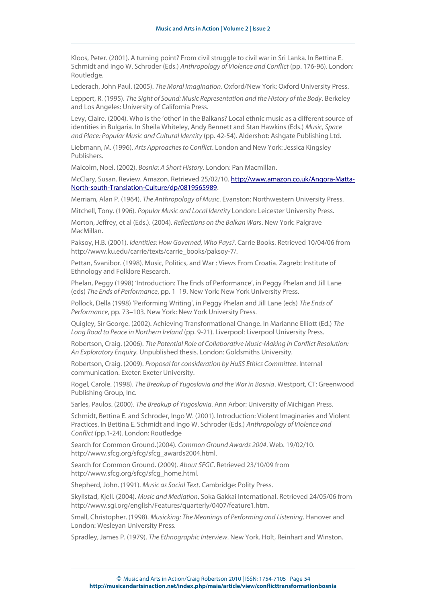Kloos, Peter. (2001). A turning point? From civil struggle to civil war in Sri Lanka. In Bettina E. Schmidt and Ingo W. Schroder (Eds.) Anthropology of Violence and Conflict (pp. 176-96). London: Routledge.

Lederach, John Paul. (2005). The Moral Imagination. Oxford/New York: Oxford University Press.

Leppert, R. (1995). The Sight of Sound: Music Representation and the History of the Body. Berkeley and Los Angeles: University of California Press.

Levy, Claire. (2004). Who is the 'other' in the Balkans? Local ethnic music as a different source of identities in Bulgaria. In Sheila Whiteley, Andy Bennett and Stan Hawkins (Eds.) Music, Space and Place: Popular Music and Cultural Identity (pp. 42-54). Aldershot: Ashgate Publishing Ltd.

Liebmann, M. (1996). Arts Approaches to Conflict. London and New York: Jessica Kingsley Publishers.

Malcolm, Noel. (2002). Bosnia: A Short History. London: Pan Macmillan.

McClary, Susan. Review. Amazon. Retrieved 25/02/10. [http://www.amazon.co.uk/Angora-Matta-](http://www.amazon.co.uk/Angora-Matta-North-south-Translation-Culture/dp/0819565989)[North-south-Translation-Culture/dp/0819565989.](http://www.amazon.co.uk/Angora-Matta-North-south-Translation-Culture/dp/0819565989)

Merriam, Alan P. (1964). The Anthropology of Music. Evanston: Northwestern University Press.

Mitchell, Tony. (1996). Popular Music and Local Identity London: Leicester University Press.

Morton, Jeffrey, et al (Eds.). (2004). Reflections on the Balkan Wars. New York: Palgrave MacMillan.

Paksoy, H.B. (2001). Identities: How Governed, Who Pays?. Carrie Books. Retrieved 10/04/06 from http://www.ku.edu/carrie/texts/carrie\_books/paksoy-7/.

Pettan, Svanibor. (1998). Music, Politics, and War : Views From Croatia. Zagreb: Institute of Ethnology and Folklore Research.

Phelan, Peggy (1998) 'Introduction: The Ends of Performance', in Peggy Phelan and Jill Lane (eds) The Ends of Performance, pp. 1–19. New York: New York University Press.

Pollock, Della (1998) 'Performing Writing', in Peggy Phelan and Jill Lane (eds) The Ends of Performance, pp. 73–103. New York: New York University Press.

Quigley, Sir George. (2002). Achieving Transformational Change. In Marianne Elliott (Ed.) The Long Road to Peace in Northern Ireland (pp. 9-21). Liverpool: Liverpool University Press.

Robertson, Craig. (2006). The Potential Role of Collaborative Music-Making in Conflict Resolution: An Exploratory Enquiry. Unpublished thesis. London: Goldsmiths University.

Robertson, Craig. (2009). Proposal for consideration by HuSS Ethics Committee. Internal communication. Exeter: Exeter University.

Rogel, Carole. (1998). The Breakup of Yugoslavia and the War in Bosnia. Westport, CT: Greenwood Publishing Group, Inc.

Sarles, Paulos. (2000). The Breakup of Yugoslavia. Ann Arbor: University of Michigan Press.

Schmidt, Bettina E. and Schroder, Ingo W. (2001). Introduction: Violent Imaginaries and Violent Practices. In Bettina E. Schmidt and Ingo W. Schroder (Eds.) Anthropology of Violence and Conflict (pp.1-24). London: Routledge

Search for Common Ground.(2004). Common Ground Awards 2004. Web. 19/02/10. http://www.sfcg.org/sfcg/sfcg\_awards2004.html.

Search for Common Ground. (2009). About SFGC. Retrieved 23/10/09 from http://www.sfcg.org/sfcg/sfcg\_home.html.

Shepherd, John. (1991). Music as Social Text. Cambridge: Polity Press.

Skyllstad, Kjell. (2004). Music and Mediation. Soka Gakkai International. Retrieved 24/05/06 from http://www.sgi.org/english/Features/quarterly/0407/feature1.htm.

Small, Christopher. (1998). Musicking: The Meanings of Performing and Listening. Hanover and London: Wesleyan University Press.

Spradley, James P. (1979). The Ethnographic Interview. New York. Holt, Reinhart and Winston.